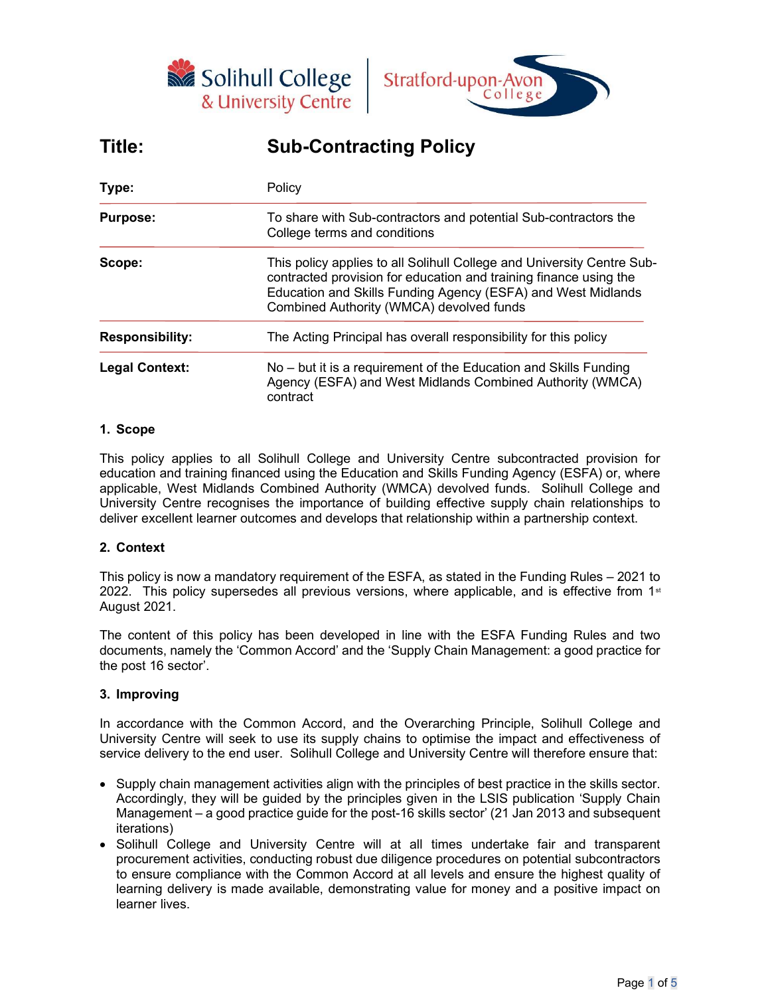



# Title: Sub-Contracting Policy

| Type:                  | Policy<br>To share with Sub-contractors and potential Sub-contractors the<br>College terms and conditions                                                                                                                                               |  |  |
|------------------------|---------------------------------------------------------------------------------------------------------------------------------------------------------------------------------------------------------------------------------------------------------|--|--|
| <b>Purpose:</b>        |                                                                                                                                                                                                                                                         |  |  |
| Scope:                 | This policy applies to all Solihull College and University Centre Sub-<br>contracted provision for education and training finance using the<br>Education and Skills Funding Agency (ESFA) and West Midlands<br>Combined Authority (WMCA) devolved funds |  |  |
| <b>Responsibility:</b> | The Acting Principal has overall responsibility for this policy                                                                                                                                                                                         |  |  |
| <b>Legal Context:</b>  | No – but it is a requirement of the Education and Skills Funding<br>Agency (ESFA) and West Midlands Combined Authority (WMCA)<br>contract                                                                                                               |  |  |

# 1. Scope

This policy applies to all Solihull College and University Centre subcontracted provision for education and training financed using the Education and Skills Funding Agency (ESFA) or, where applicable, West Midlands Combined Authority (WMCA) devolved funds. Solihull College and University Centre recognises the importance of building effective supply chain relationships to deliver excellent learner outcomes and develops that relationship within a partnership context.

# 2. Context

This policy is now a mandatory requirement of the ESFA, as stated in the Funding Rules – 2021 to 2022. This policy supersedes all previous versions, where applicable, and is effective from  $1<sup>st</sup>$ August 2021.

The content of this policy has been developed in line with the ESFA Funding Rules and two documents, namely the 'Common Accord' and the 'Supply Chain Management: a good practice for the post 16 sector'.

# 3. Improving

In accordance with the Common Accord, and the Overarching Principle, Solihull College and University Centre will seek to use its supply chains to optimise the impact and effectiveness of service delivery to the end user. Solihull College and University Centre will therefore ensure that:

- Supply chain management activities align with the principles of best practice in the skills sector. Accordingly, they will be guided by the principles given in the LSIS publication 'Supply Chain Management – a good practice guide for the post-16 skills sector' (21 Jan 2013 and subsequent iterations)
- Solihull College and University Centre will at all times undertake fair and transparent procurement activities, conducting robust due diligence procedures on potential subcontractors to ensure compliance with the Common Accord at all levels and ensure the highest quality of learning delivery is made available, demonstrating value for money and a positive impact on learner lives.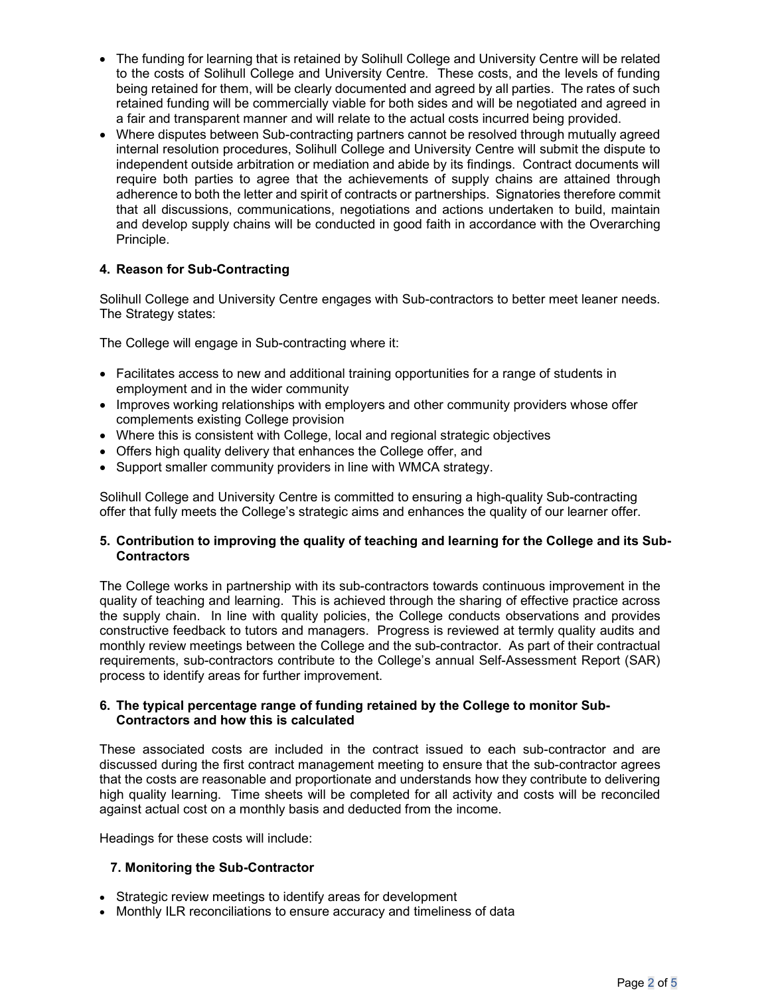- The funding for learning that is retained by Solihull College and University Centre will be related to the costs of Solihull College and University Centre. These costs, and the levels of funding being retained for them, will be clearly documented and agreed by all parties. The rates of such retained funding will be commercially viable for both sides and will be negotiated and agreed in a fair and transparent manner and will relate to the actual costs incurred being provided.
- Where disputes between Sub-contracting partners cannot be resolved through mutually agreed internal resolution procedures, Solihull College and University Centre will submit the dispute to independent outside arbitration or mediation and abide by its findings. Contract documents will require both parties to agree that the achievements of supply chains are attained through adherence to both the letter and spirit of contracts or partnerships. Signatories therefore commit that all discussions, communications, negotiations and actions undertaken to build, maintain and develop supply chains will be conducted in good faith in accordance with the Overarching Principle.

# 4. Reason for Sub-Contracting

Solihull College and University Centre engages with Sub-contractors to better meet leaner needs. The Strategy states:

The College will engage in Sub-contracting where it:

- Facilitates access to new and additional training opportunities for a range of students in employment and in the wider community
- Improves working relationships with employers and other community providers whose offer complements existing College provision
- Where this is consistent with College, local and regional strategic objectives
- Offers high quality delivery that enhances the College offer, and
- Support smaller community providers in line with WMCA strategy.

Solihull College and University Centre is committed to ensuring a high-quality Sub-contracting offer that fully meets the College's strategic aims and enhances the quality of our learner offer.

# 5. Contribution to improving the quality of teaching and learning for the College and its Sub-**Contractors**

The College works in partnership with its sub-contractors towards continuous improvement in the quality of teaching and learning. This is achieved through the sharing of effective practice across the supply chain. In line with quality policies, the College conducts observations and provides constructive feedback to tutors and managers. Progress is reviewed at termly quality audits and monthly review meetings between the College and the sub-contractor. As part of their contractual requirements, sub-contractors contribute to the College's annual Self-Assessment Report (SAR) process to identify areas for further improvement.

#### 6. The typical percentage range of funding retained by the College to monitor Sub-Contractors and how this is calculated

These associated costs are included in the contract issued to each sub-contractor and are discussed during the first contract management meeting to ensure that the sub-contractor agrees that the costs are reasonable and proportionate and understands how they contribute to delivering high quality learning. Time sheets will be completed for all activity and costs will be reconciled against actual cost on a monthly basis and deducted from the income.

Headings for these costs will include:

#### 7. Monitoring the Sub-Contractor

- Strategic review meetings to identify areas for development
- Monthly ILR reconciliations to ensure accuracy and timeliness of data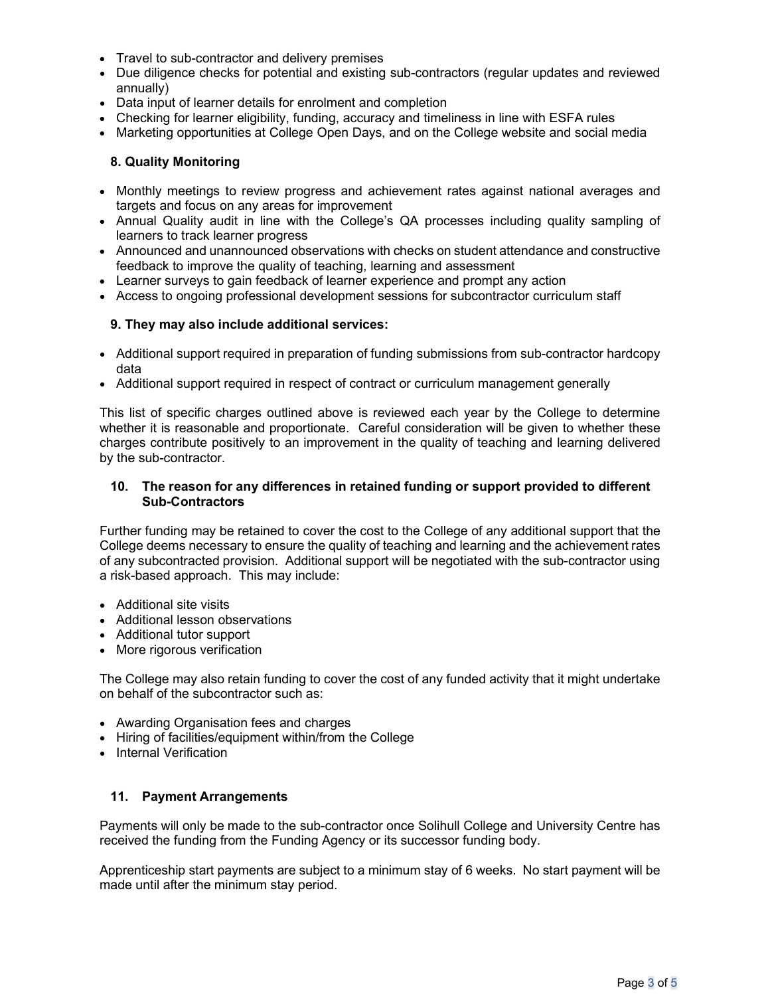- Travel to sub-contractor and delivery premises
- Due diligence checks for potential and existing sub-contractors (regular updates and reviewed annually)
- Data input of learner details for enrolment and completion
- Checking for learner eligibility, funding, accuracy and timeliness in line with ESFA rules
- Marketing opportunities at College Open Days, and on the College website and social media

#### 8. Quality Monitoring

- Monthly meetings to review progress and achievement rates against national averages and targets and focus on any areas for improvement
- Annual Quality audit in line with the College's QA processes including quality sampling of learners to track learner progress
- Announced and unannounced observations with checks on student attendance and constructive feedback to improve the quality of teaching, learning and assessment
- Learner surveys to gain feedback of learner experience and prompt any action
- Access to ongoing professional development sessions for subcontractor curriculum staff

# 9. They may also include additional services:

- Additional support required in preparation of funding submissions from sub-contractor hardcopy data
- Additional support required in respect of contract or curriculum management generally

This list of specific charges outlined above is reviewed each year by the College to determine whether it is reasonable and proportionate. Careful consideration will be given to whether these charges contribute positively to an improvement in the quality of teaching and learning delivered by the sub-contractor.

# 10. The reason for any differences in retained funding or support provided to different Sub-Contractors

Further funding may be retained to cover the cost to the College of any additional support that the College deems necessary to ensure the quality of teaching and learning and the achievement rates of any subcontracted provision. Additional support will be negotiated with the sub-contractor using a risk-based approach. This may include:

- Additional site visits
- Additional lesson observations
- Additional tutor support
- More rigorous verification

The College may also retain funding to cover the cost of any funded activity that it might undertake on behalf of the subcontractor such as:

- Awarding Organisation fees and charges
- Hiring of facilities/equipment within/from the College
- Internal Verification

#### 11. Payment Arrangements

Payments will only be made to the sub-contractor once Solihull College and University Centre has received the funding from the Funding Agency or its successor funding body.

Apprenticeship start payments are subject to a minimum stay of 6 weeks. No start payment will be made until after the minimum stay period.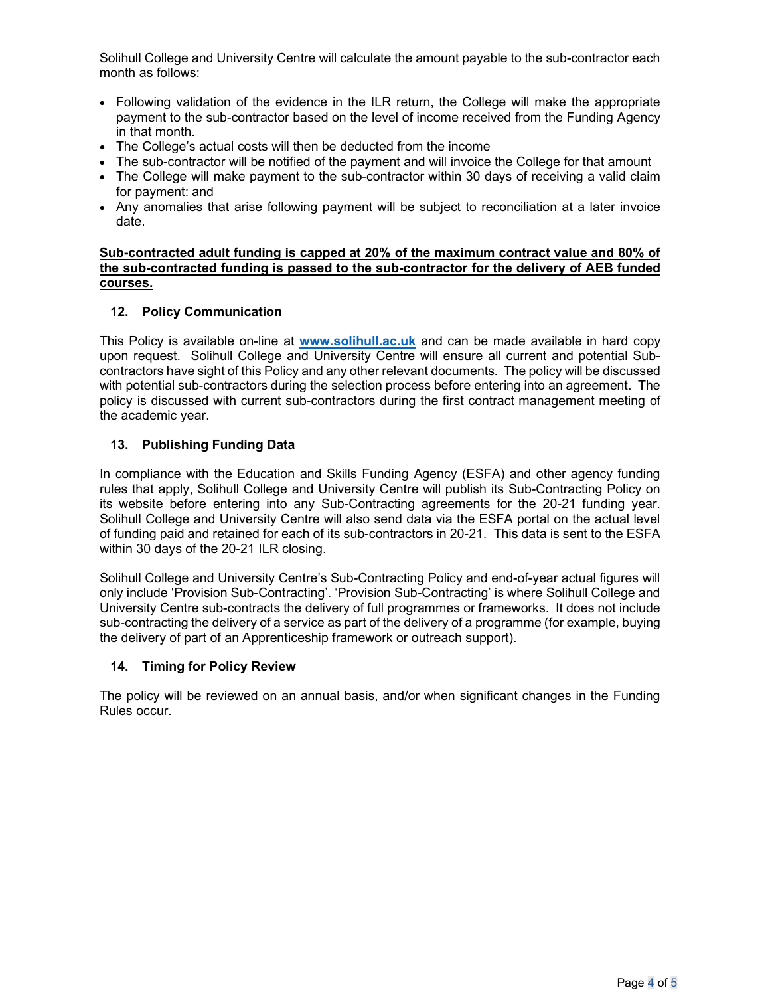Solihull College and University Centre will calculate the amount payable to the sub-contractor each month as follows:

- Following validation of the evidence in the ILR return, the College will make the appropriate payment to the sub-contractor based on the level of income received from the Funding Agency in that month.
- The College's actual costs will then be deducted from the income
- The sub-contractor will be notified of the payment and will invoice the College for that amount
- The College will make payment to the sub-contractor within 30 days of receiving a valid claim for payment: and
- Any anomalies that arise following payment will be subject to reconciliation at a later invoice date.

#### Sub-contracted adult funding is capped at 20% of the maximum contract value and 80% of the sub-contracted funding is passed to the sub-contractor for the delivery of AEB funded courses.

# 12. Policy Communication

This Policy is available on-line at www.solihull.ac.uk and can be made available in hard copy upon request. Solihull College and University Centre will ensure all current and potential Subcontractors have sight of this Policy and any other relevant documents. The policy will be discussed with potential sub-contractors during the selection process before entering into an agreement. The policy is discussed with current sub-contractors during the first contract management meeting of the academic year.

# 13. Publishing Funding Data

In compliance with the Education and Skills Funding Agency (ESFA) and other agency funding rules that apply, Solihull College and University Centre will publish its Sub-Contracting Policy on its website before entering into any Sub-Contracting agreements for the 20-21 funding year. Solihull College and University Centre will also send data via the ESFA portal on the actual level of funding paid and retained for each of its sub-contractors in 20-21. This data is sent to the ESFA within 30 days of the 20-21 ILR closing.

Solihull College and University Centre's Sub-Contracting Policy and end-of-year actual figures will only include 'Provision Sub-Contracting'. 'Provision Sub-Contracting' is where Solihull College and University Centre sub-contracts the delivery of full programmes or frameworks. It does not include sub-contracting the delivery of a service as part of the delivery of a programme (for example, buying the delivery of part of an Apprenticeship framework or outreach support).

#### 14. Timing for Policy Review

The policy will be reviewed on an annual basis, and/or when significant changes in the Funding Rules occur.